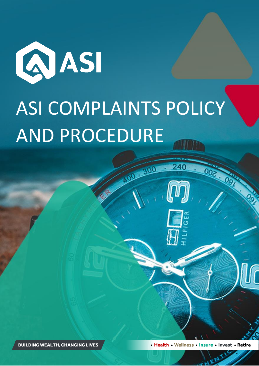

# ASI COMPLAINTS POLICY AND PROCEDURE

00 - 300

240



· Health · Wellness · Insure · Invest · Retire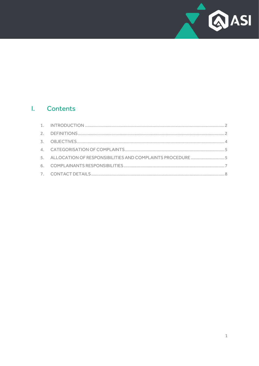

# I. Contents

| 5. ALLOCATION OF RESPONSIBILITIES AND COMPLAINTS PROCEDURE 5 |  |
|--------------------------------------------------------------|--|
|                                                              |  |
|                                                              |  |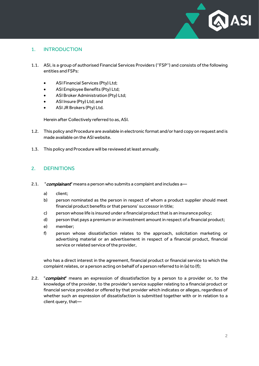

## <span id="page-2-0"></span>1. INTRODUCTION

- 1.1. ASI, is a group of authorised Financial Services Providers (''FSP'') and consists of the following entities and FSPs:
	- ASI Financial Services (Pty) Ltd;
	- ASI Employee Benefits (Pty) Ltd;
	- ASI Broker Administration (Pty) Ltd;
	- ASI Insure (Pty) Ltd; and
	- ASI JR Brokers (Pty) Ltd.

Herein after Collectively referred to as, ASI.

- 1.2. This policy and Procedure are available in electronic format and/or hard copy on request and is made available on the ASI website.
- 1.3. This policy and Procedure will be reviewed at least annually.

## <span id="page-2-1"></span>2. DEFINITIONS

- 2.1. "*complainant*" means a person who submits a complaint and includes a
	- a) client;
	- b) person nominated as the person in respect of whom a product supplier should meet financial product benefits or that persons' successor in title;
	- c) person whose life is insured under a financial product that is an insurance policy;
	- d) person that pays a premium or an investment amount in respect of a financial product;
	- e) member;
	- f) person whose dissatisfaction relates to the approach, solicitation marketing or advertising material or an advertisement in respect of a financial product, financial service or related service of the provider,

who has a direct interest in the agreement, financial product or financial service to which the complaint relates, or a person acting on behalf of a person referred to in (a) to (f);

2.2. "complaint" means an expression of dissatisfaction by a person to a provider or, to the knowledge of the provider, to the provider's service supplier relating to a financial product or financial service provided or offered by that provider which indicates or alleges, regardless of whether such an expression of dissatisfaction is submitted together with or in relation to a client query, that—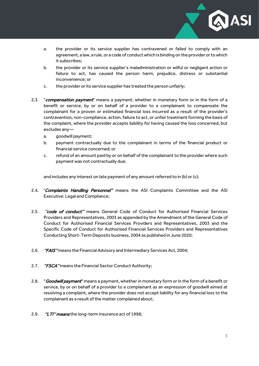

- a. the provider or its service supplier has contravened or failed to comply with an agreement, a law, a rule, or a code of conduct which is binding on the provider or to which it subscribes;
- b. the provider or its service supplier's maladministration or wilful or negligent action or failure to act, has caused the person harm, prejudice, distress or substantial inconvenience; or
- c. the provider or its service supplier has treated the person unfairly;
- 2.3. "compensation payment" means a payment, whether in monetary form or in the form of a benefit or service, by or on behalf of a provider to a complainant to compensate the complainant for a proven or estimated financial loss incurred as a result of the provider's contravention, non-compliance, action, failure to act, or unfair treatment forming the basis of the complaint, where the provider accepts liability for having caused the loss concerned, but excludes any
	- a. goodwill payment:
	- b. payment contractually due to the complainant in terms of the financial product or financial service concerned; or
	- c. refund of an amount paid by or on behalf of the complainant to the provider where such payment was not contractually due;

and includes any interest on late payment of any amount referred to in (b) or (c);

- 2.4. 'Complaints Handling Personnel" means the ASI Complaints Committee and the ASI Executive: Legal and Compliance;
- 2.5. "code of conduct" means General Code of Conduct for Authorised Financial Services Providers and Representatives, 2003 as appended by the Amendment of the General Code of Conduct for Authorised Financial Services Providers and Representatives, 2003 and the Specific Code of Conduct for Authorised Financial Services Providers and Representatives Conducting Short-Term Deposits business, 2004 as published in June 2020;
- 2.6. "FAIS" means the Financial Advisory and Intermediary Services Act, 2004;
- 2.7. "FSCA" means the Financial Sector Conduct Authority;
- 2.8. "**Goodwill payment**" means a payment, whether in monetary form or in the form of a benefit or service, by or on behalf of a provider to a complainant as an expression of goodwill aimed at resolving a complaint, where the provider does not accept liability for any financial loss to the complainant as a result of the matter complained about;
- 2.9. "LTI" means the long-term insurance act of 1998;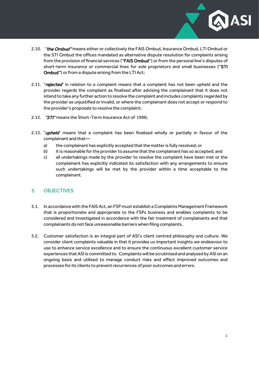- 2.10. '*'the Ombud''* means either or collectively the FAIS Ombud, Insurance Ombud, LTI Ombud or the STI Ombud the offices mandated as alternative dispute resolution for complaints arising from the provision of financial services ("FAIS Ombud") or from the personal line's disputes of short-term insurance or commercial lines for sole proprietors and small businesses (''STI Ombud'') or from a dispute arising from the LTI Act;
- 2.11. "rejected" in relation to a complaint means that a complaint has not been upheld and the provider regards the complaint as finalised after advising the complainant that it does not intend to take any further action to resolve the complaint and includes complaints regarded by the provider as unjustified or invalid, or where the complainant does not accept or respond to the provider's proposals to resolve the complaint;
- 2.12. "STI" means the Short-Term Insurance Act of 1998;
- 2.13. "**upheld**" means that a complaint has been finalised wholly or partially in favour of the complainant and that
	- a) the complainant has explicitly accepted that the matter is fully resolved; or
	- b) it is reasonable for the provider to assume that the complainant has so accepted; and
	- c) all undertakings made by the provider to resolve the complaint have been met or the complainant has explicitly indicated its satisfaction with any arrangements to ensure such undertakings will be met by the provider within a time acceptable to the complainant.

#### <span id="page-4-0"></span>3. OBJECTIVES

- 3.1. In accordance with the FAIS Act, an FSP must establish a Complaints Management Framework that is proportionate and appropriate to the FSPs business and enables complaints to be considered and investigated in accordance with the fair treatment of complainants and that complainants do not face unreasonable barriers when filing complaints.
- 3.2. Customer satisfaction is an integral part of ASI's client centred philosophy and culture. We consider client complaints valuable in that it provides us important insights we endeavour to use to enhance service excellence and to ensure the continuous excellent customer service experiences that ASI is committed to. Complaints will be scrutinised and analysed by ASI on an ongoing basis and utilised to manage conduct risks and effect improved outcomes and processes for its clients to prevent recurrences of poor outcomes and errors.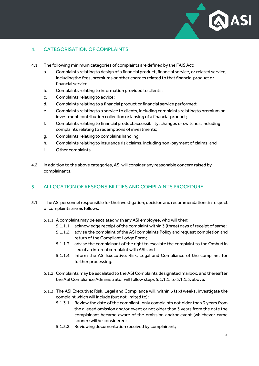

# <span id="page-5-0"></span>4. CATEGORISATION OF COMPLAINTS

- 4.1 The following minimum categories of complaints are defined by the FAIS Act:
	- a. Complaints relating to design of a financial product, financial service, or related service, including the fees, premiums or other charges related to that financial product or financial service;
	- b. Complaints relating to information provided to clients;
	- c. Complaints relating to advice;
	- d. Complaints relating to a financial product or financial service performed;
	- e. Complaints relating to a service to clients, including complaints relating to premium or investment contribution collection or lapsing of a financial product;
	- f. Complaints relating to financial product accessibility, changes or switches, including complaints relating to redemptions of investments;
	- g. Complaints relating to complains handling;
	- h. Complaints relating to insurance risk claims, including non-payment of claims; and
	- i. Other complaints.
- 4.2 In addition to the above categories, ASI will consider any reasonable concern raised by complainants.

#### <span id="page-5-1"></span>5. ALLOCATION OF RESPONSIBILITIES AND COMPLAINTS PROCEDURE

- 5.1. The ASI personnel responsible for the investigation, decision and recommendations in respect of complaints are as follows:
	- 5.1.1. A complaint may be escalated with any ASI employee, who will then:
		- 5.1.1.1. acknowledge receipt of the complaint within 3 (three) days of receipt of same;
		- 5.1.1.2. advise the complaint of the ASI complaints Policy and request completion and return of the Compliant Lodge Form;
		- 5.1.1.3. advise the complainant of the right to escalate the complaint to the Ombud in lieu of an internal complaint with ASI; and
		- 5.1.1.4. Inform the ASI Executive: Risk, Legal and Compliance of the compliant for further processing.
	- 5.1.2. Complaints may be escalated to the ASI Complaints designated mailbox, and thereafter the ASI Compliance Administrator will follow steps 5.1.1.1. to 5.1.1.5. above.
	- 5.1.3. The ASI Executive: Risk, Legal and Compliance will, within 6 (six) weeks, investigate the complaint which will include (but not limited to):
		- 5.1.3.1. Review the date of the compliant, only complaints not older than 3 years from the alleged omission and/or event or not older than 3 years from the date the complainant became aware of the omission and/or event (whichever came sooner) will be considered;
		- 5.1.3.2. Reviewing documentation received by complainant;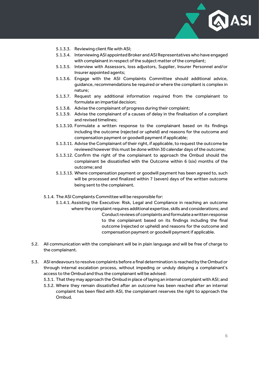

- 5.1.3.3. Reviewing client file with ASI;
- 5.1.3.4. Interviewing ASI appointed Broker and ASI Representatives who have engaged with complainant in respect of the subject matter of the compliant;
- 5.1.3.5. Interview with Assessors, loss adjustors, Supplier, Insurer Personnel and/or Insurer appointed agents;
- 5.1.3.6. Engage with the ASI Complaints Committee should additional advice, guidance, recommendations be required or where the compliant is complex in nature;
- 5.1.3.7. Request any additional information required from the complainant to formulate an impartial decision;
- 5.1.3.8. Advise the complainant of progress during their complaint;
- 5.1.3.9. Advise the complainant of a causes of delay in the finalisation of a compliant and revised timelines;
- 5.1.3.10. Formulate a written response to the complainant based on its findings including the outcome (rejected or upheld) and reasons for the outcome and compensation payment or goodwill paymentif applicable;
- 5.1.3.11. Advise the Complainant of their right, if applicable, to request the outcome be reviewed however this must be done within 30 calendar days of the outcome;
- 5.1.3.12. Confirm the right of the complainant to approach the Ombud should the complainant be dissatisfied with the Outcome within 6 (six) months of the outcome; and
- 5.1.3.13. Where compensation payment or goodwill payment has been agreed to, such will be processed and finalized within 7 (seven) days of the written outcome being sent to the complainant.
- 5.1.4. The ASI Complaints Committee will be responsible for:
	- 5.1.4.1. Assisting the Executive: Risk, Legal and Compliance in reaching an outcome where the complaint requires additional expertise, skills and considerations; and Conduct reviews of complaints and formulate a written response to the complainant based on its findings including the final outcome (rejected or upheld) and reasons for the outcome and compensation payment or goodwill payment if applicable.
- 5.2. All communication with the complainant will be in plain language and will be free of charge to the complainant.
- 5.3. ASI endeavours to resolve complaints before a final determination is reached by the Ombud or through internal escalation process, without impeding or unduly delaying a complainant's access to the Ombud and thus the complainant will be advised:
	- 5.3.1. That they may approach the Ombud in place of laying an internal complaint with ASI; and
	- 5.3.2. Where they remain dissatisfied after an outcome has been reached after an internal complaint has been filed with ASI, the complainant reserves the right to approach the Ombud.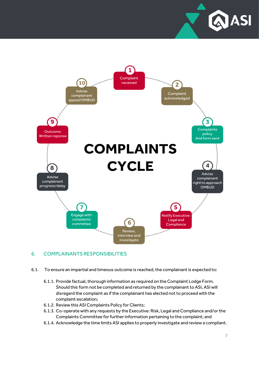



# <span id="page-7-0"></span>6. COMPLAINANTS RESPONSIBILITIES

- 6.1. To ensure an impartial and timeous outcome is reached, the complainant is expected to:
	- 6.1.1. Provide factual, thorough information as required on the Complaint Lodge Form. Should this form not be completed and returned by the complainant to ASI, ASI will disregard the complaint as if the complainant has elected not to proceed with the complaint escalation;
	- 6.1.2. Review this ASI Complaints Policy for Clients;
	- 6.1.3. Co-operate with any requests by the Executive: Risk, Legal and Compliance and/or the Complaints Committee for further information pertaining to the complaint; and
	- 6.1.4. Acknowledge the time limits ASI applies to properly investigate and review a compliant.